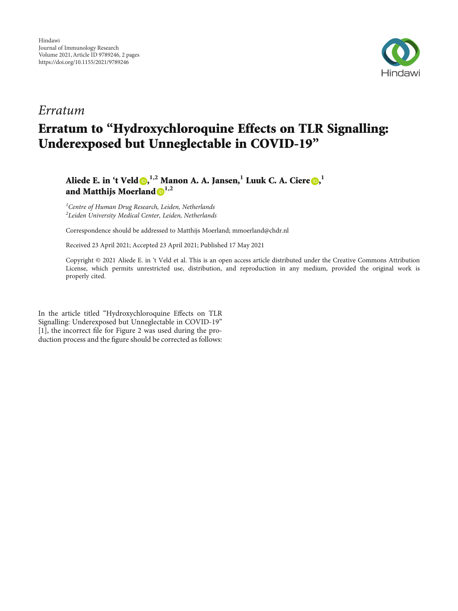

## Erratum

## Erratum to "Hydroxychloroquine Effects on TLR Signalling: Underexposed but Unneglectable in COVID-19"

Aliede E. in 't Veld  $\textbf{0,}^{1,2}$  $\textbf{0,}^{1,2}$  $\textbf{0,}^{1,2}$  Manon A. A. Jansen, $^{1}$  Luuk C. A. Ciere  $\textbf{0,}^{1}$ and Matthijs Moerland **1,2**

<sup>1</sup> Centre of Human Drug Research, Leiden, Netherlands  $^{2}$ Leiden University Medical Center, Leiden, Netherlands

Correspondence should be addressed to Matthijs Moerland; mmoerland@chdr.nl

Received 23 April 2021; Accepted 23 April 2021; Published 17 May 2021

Copyright © 2021 Aliede E. in 't Veld et al. This is an open access article distributed under the [Creative Commons Attribution](https://creativecommons.org/licenses/by/4.0/) [License,](https://creativecommons.org/licenses/by/4.0/) which permits unrestricted use, distribution, and reproduction in any medium, provided the original work is properly cited.

In the article titled "Hydroxychloroquine Effects on TLR Signalling: Underexposed but Unneglectable in COVID-19" [\[1](#page-1-0)], the incorrect file for Figure 2 was used during the production process and the figure should be corrected as follows: